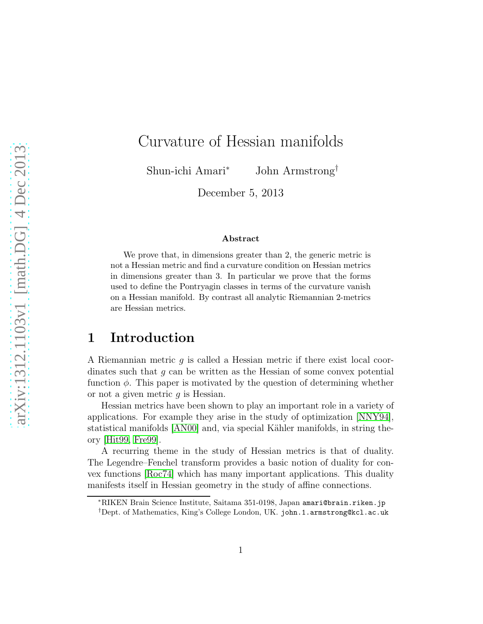# Curvature of Hessian manifolds

Shun-ichi Amari<sup>∗</sup> John Armstrong†

December 5, 2013

#### Abstract

We prove that, in dimensions greater than 2, the generic metric is not a Hessian metric and find a curvature condition on Hessian metrics in dimensions greater than 3. In particular we prove that the forms used to define the Pontryagin classes in terms of the curvature vanish on a Hessian manifold. By contrast all analytic Riemannian 2-metrics are Hessian metrics.

# 1 Introduction

A Riemannian metric  $q$  is called a Hessian metric if there exist local coordinates such that  $g$  can be written as the Hessian of some convex potential function  $\phi$ . This paper is motivated by the question of determining whether or not a given metric  $q$  is Hessian.

Hessian metrics have been shown to play an important role in a variety of applications. For example they arise in the study of optimization [\[NNY94\]](#page-17-0), statistical manifolds [\[AN00\]](#page-15-0) and, via special Kähler manifolds, in string theory [\[Hit99,](#page-16-0) [Fre99\]](#page-16-1).

A recurring theme in the study of Hessian metrics is that of duality. The Legendre–Fenchel transform provides a basic notion of duality for convex functions [\[Roc74\]](#page-17-1) which has many important applications. This duality manifests itself in Hessian geometry in the study of affine connections.

<sup>∗</sup>RIKEN Brain Science Institute, Saitama 351-0198, Japan amari@brain.riken.jp †Dept. of Mathematics, King's College London, UK. john.1.armstrong@kcl.ac.uk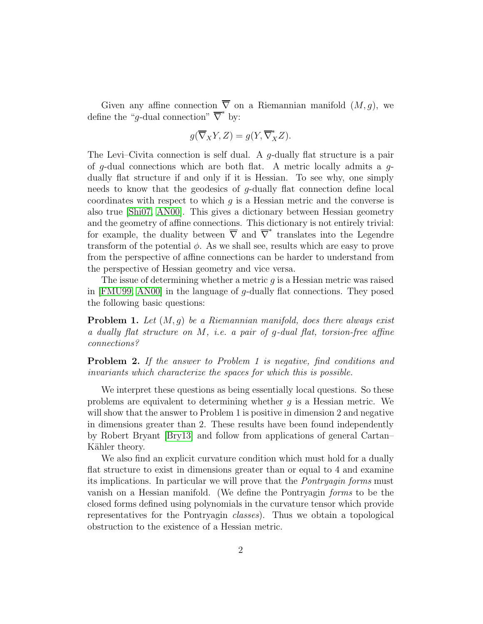Given any affine connection  $\overline{\nabla}$  on a Riemannian manifold  $(M, q)$ , we define the "g-dual connection"  $\overline{\nabla}^*$  by:

$$
g(\overline{\nabla}_X Y, Z) = g(Y, \overline{\nabla}_X^* Z).
$$

The Levi–Civita connection is self dual. A g-dually flat structure is a pair of g-dual connections which are both flat. A metric locally admits a  $g$ dually flat structure if and only if it is Hessian. To see why, one simply needs to know that the geodesics of g-dually flat connection define local coordinates with respect to which  $q$  is a Hessian metric and the converse is also true [\[Shi07,](#page-17-2) [AN00\]](#page-15-0). This gives a dictionary between Hessian geometry and the geometry of affine connections. This dictionary is not entirely trivial: for example, the duality between  $\overline{\nabla}$  and  $\overline{\nabla}^*$  translates into the Legendre transform of the potential  $\phi$ . As we shall see, results which are easy to prove from the perspective of affine connections can be harder to understand from the perspective of Hessian geometry and vice versa.

The issue of determining whether a metric  $g$  is a Hessian metric was raised in [\[FMU99,](#page-16-2) [AN00\]](#page-15-0) in the language of  $q$ -dually flat connections. They posed the following basic questions:

**Problem 1.** Let  $(M, g)$  be a Riemannian manifold, does there always exist a dually flat structure on  $M$ , i.e. a pair of g-dual flat, torsion-free affine connections?

Problem 2. If the answer to Problem 1 is negative, find conditions and invariants which characterize the spaces for which this is possible.

We interpret these questions as being essentially local questions. So these problems are equivalent to determining whether  $g$  is a Hessian metric. We will show that the answer to Problem 1 is positive in dimension 2 and negative in dimensions greater than 2. These results have been found independently by Robert Bryant [\[Bry13\]](#page-16-3) and follow from applications of general Cartan– Kähler theory.

We also find an explicit curvature condition which must hold for a dually flat structure to exist in dimensions greater than or equal to 4 and examine its implications. In particular we will prove that the Pontryagin forms must vanish on a Hessian manifold. (We define the Pontryagin forms to be the closed forms defined using polynomials in the curvature tensor which provide representatives for the Pontryagin classes). Thus we obtain a topological obstruction to the existence of a Hessian metric.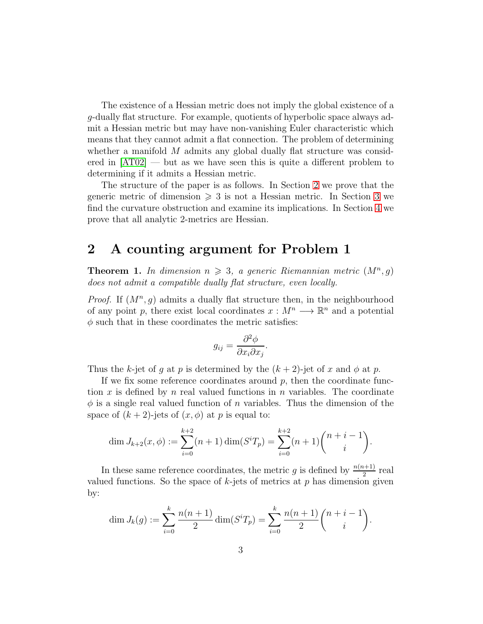The existence of a Hessian metric does not imply the global existence of a g-dually flat structure. For example, quotients of hyperbolic space always admit a Hessian metric but may have non-vanishing Euler characteristic which means that they cannot admit a flat connection. The problem of determining whether a manifold  $M$  admits any global dually flat structure was considered in [\[AT02\]](#page-15-1) — but as we have seen this is quite a different problem to determining if it admits a Hessian metric.

The structure of the paper is as follows. In Section [2](#page-2-0) we prove that the generic metric of dimension  $\geqslant 3$  $\geqslant 3$  is not a Hessian metric. In Section 3 we find the curvature obstruction and examine its implications. In Section [4](#page-11-0) we prove that all analytic 2-metrics are Hessian.

#### <span id="page-2-0"></span>2 A counting argument for Problem 1

**Theorem 1.** In dimension  $n \geq 3$ , a generic Riemannian metric  $(M^n, g)$ does not admit a compatible dually flat structure, even locally.

*Proof.* If  $(M^n, g)$  admits a dually flat structure then, in the neighbourhood of any point p, there exist local coordinates  $x : M^n \longrightarrow \mathbb{R}^n$  and a potential  $\phi$  such that in these coordinates the metric satisfies:

$$
g_{ij} = \frac{\partial^2 \phi}{\partial x_i \partial x_j}.
$$

Thus the k-jet of g at p is determined by the  $(k+2)$ -jet of x and  $\phi$  at p.

If we fix some reference coordinates around  $p$ , then the coordinate function x is defined by n real valued functions in n variables. The coordinate  $\phi$  is a single real valued function of n variables. Thus the dimension of the space of  $(k+2)$ -jets of  $(x, \phi)$  at p is equal to:

$$
\dim J_{k+2}(x,\phi) := \sum_{i=0}^{k+2} (n+1) \dim (S^i T_p) = \sum_{i=0}^{k+2} (n+1) {n+i-1 \choose i}.
$$

In these same reference coordinates, the metric g is defined by  $\frac{n(n+1)}{2}$  real valued functions. So the space of  $k$ -jets of metrics at  $p$  has dimension given by:

$$
\dim J_k(g) := \sum_{i=0}^k \frac{n(n+1)}{2} \dim (S^i T_p) = \sum_{i=0}^k \frac{n(n+1)}{2} {n+i-1 \choose i}.
$$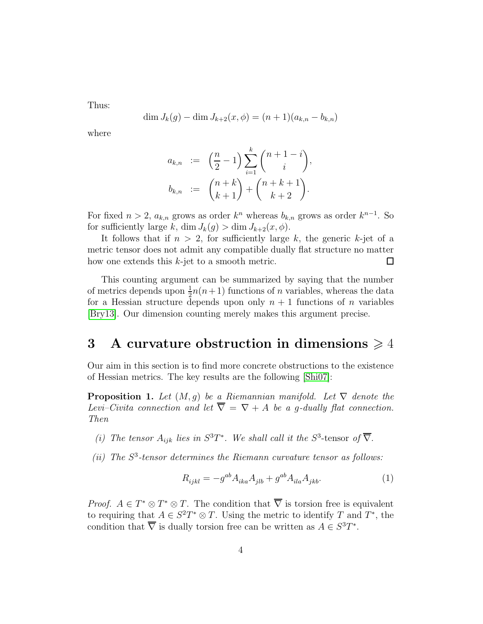Thus:

$$
\dim J_k(g) - \dim J_{k+2}(x, \phi) = (n+1)(a_{k,n} - b_{k,n})
$$

where

$$
a_{k,n} := \left(\frac{n}{2} - 1\right) \sum_{i=1}^{k} {n+1-i \choose i},
$$
  

$$
b_{k,n} := {n+k \choose k+1} + {n+k+1 \choose k+2}.
$$

For fixed  $n > 2$ ,  $a_{k,n}$  grows as order  $k^n$  whereas  $b_{k,n}$  grows as order  $k^{n-1}$ . So for sufficiently large k, dim  $J_k(g) > \dim J_{k+2}(x, \phi)$ .

It follows that if  $n > 2$ , for sufficiently large k, the generic k-jet of a metric tensor does not admit any compatible dually flat structure no matter how one extends this  $k$ -jet to a smooth metric.  $\Box$ 

This counting argument can be summarized by saying that the number of metrics depends upon  $\frac{1}{2}n(n+1)$  functions of n variables, whereas the data for a Hessian structure depends upon only  $n + 1$  functions of n variables [\[Bry13\]](#page-16-3). Our dimension counting merely makes this argument precise.

# <span id="page-3-0"></span>3 A curvature obstruction in dimensions  $\geq 4$

Our aim in this section is to find more concrete obstructions to the existence of Hessian metrics. The key results are the following [\[Shi07\]](#page-17-2):

**Proposition 1.** Let  $(M, g)$  be a Riemannian manifold. Let  $\nabla$  denote the Levi–Civita connection and let  $\overline{\nabla} = \nabla + A$  be a g-dually flat connection. Then

- (i) The tensor  $A_{ijk}$  lies in  $S^3T^*$ . We shall call it the  $S^3$ -tensor of  $\overline{\nabla}$ .
- (ii) The  $S<sup>3</sup>$ -tensor determines the Riemann curvature tensor as follows:

<span id="page-3-1"></span>
$$
R_{ijkl} = -g^{ab} A_{ika} A_{jlb} + g^{ab} A_{ila} A_{jkb}.
$$
 (1)

*Proof.*  $A \in T^* \otimes T^* \otimes T$ . The condition that  $\overline{\nabla}$  is torsion free is equivalent to requiring that  $A \in S^2T^* \otimes T$ . Using the metric to identify T and  $T^*$ , the condition that  $\overline{\nabla}$  is dually torsion free can be written as  $A \in S^3T^*$ .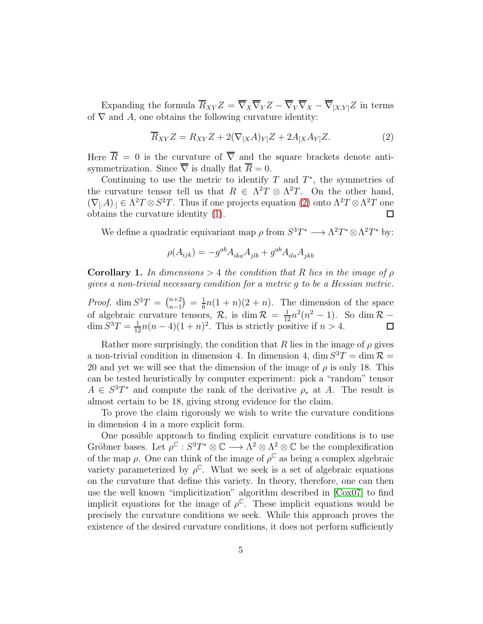Expanding the formula  $\overline{R}_{XY}Z = \overline{\nabla}_X \overline{\nabla}_Y Z - \overline{\nabla}_Y \overline{\nabla}_X - \overline{\nabla}_{[X,Y]}Z$  in terms of  $\nabla$  and A, one obtains the following curvature identity:

<span id="page-4-0"></span>
$$
\overline{R}_{XY}Z = R_{XY}Z + 2(\nabla_{[X}A)_{Y]}Z + 2A_{[X}A_{Y]}Z.
$$
\n(2)

Here  $\overline{R} = 0$  is the curvature of  $\overline{\nabla}$  and the square brackets denote antisymmetrization. Since  $\overline{\nabla}$  is dually flat  $\overline{R} = 0$ .

Continuing to use the metric to identify  $T$  and  $T^*$ , the symmetries of the curvature tensor tell us that  $R \in \Lambda^2 T \otimes \Lambda^2 T$ . On the other hand,  $(\nabla_{[A]})_1 \in \Lambda^2 T \otimes S^2 T$ . Thus if one projects equation [\(2\)](#page-4-0) onto  $\Lambda^2 T \otimes \Lambda^2 T$  one obtains the curvature identity [\(1\)](#page-3-1).  $\Box$ 

We define a quadratic equivariant map  $\rho$  from  $S^3T^* \longrightarrow \Lambda^2T^* \otimes \Lambda^2T^*$  by:

$$
\rho(A_{ijk})=-g^{ab}A_{ika}A_{jlb}+g^{ab}A_{ila}A_{jkb}
$$

**Corollary 1.** In dimensions  $> 4$  the condition that R lies in the image of  $\rho$ gives a non-trivial necessary condition for a metric g to be a Hessian metric.

*Proof.* dim  $S^3T = \binom{n+2}{n-1}$  $\binom{n+2}{n-1} = \frac{1}{6}$  $\frac{1}{6}n(1+n)(2+n)$ . The dimension of the space of algebraic curvature tensors,  $\mathcal{R}$ , is dim  $\mathcal{R} = \frac{1}{12}n^2(n^2 - 1)$ . So dim  $\mathcal{R}$  –  $\dim S^3T = \frac{1}{12}n(n-4)(1+n)^2$ . This is strictly positive if  $n > 4$ .

Rather more surprisingly, the condition that R lies in the image of  $\rho$  gives a non-trivial condition in dimension 4. In dimension 4, dim  $S^3T = \dim \mathcal{R} =$ 20 and yet we will see that the dimension of the image of  $\rho$  is only 18. This can be tested heuristically by computer experiment: pick a "random" tensor  $A \in S^3T^*$  and compute the rank of the derivative  $\rho_*$  at A. The result is almost certain to be 18, giving strong evidence for the claim.

To prove the claim rigorously we wish to write the curvature conditions in dimension 4 in a more explicit form.

One possible approach to finding explicit curvature conditions is to use Gröbner bases. Let  $\rho^{\mathbb{C}} : S^3T^* \otimes \mathbb{C} \longrightarrow \Lambda^2 \otimes \Lambda^2 \otimes \mathbb{C}$  be the complexification of the map  $\rho$ . One can think of the image of  $\rho^{\mathbb{C}}$  as being a complex algebraic variety parameterized by  $\rho^{\mathbb{C}}$ . What we seek is a set of algebraic equations on the curvature that define this variety. In theory, therefore, one can then use the well known "implicitization" algorithm described in [\[Cox07\]](#page-16-4) to find implicit equations for the image of  $\rho^{\mathbb{C}}$ . These implicit equations would be precisely the curvature conditions we seek. While this approach proves the existence of the desired curvature conditions, it does not perform sufficiently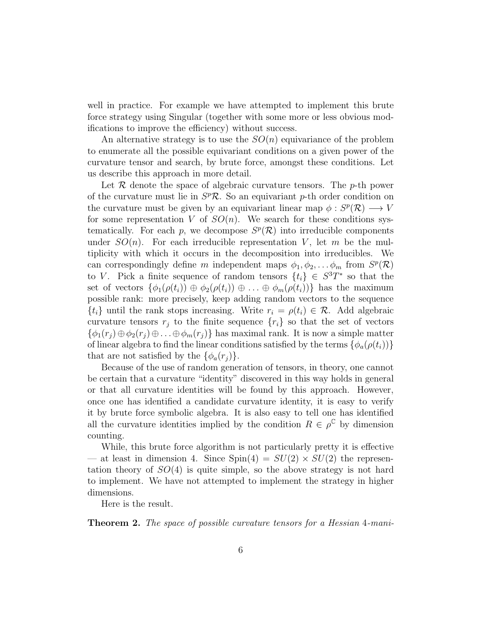well in practice. For example we have attempted to implement this brute force strategy using Singular (together with some more or less obvious modifications to improve the efficiency) without success.

An alternative strategy is to use the  $SO(n)$  equivariance of the problem to enumerate all the possible equivariant conditions on a given power of the curvature tensor and search, by brute force, amongst these conditions. Let us describe this approach in more detail.

Let  $R$  denote the space of algebraic curvature tensors. The p-th power of the curvature must lie in  $S^p$ R. So an equivariant p-th order condition on the curvature must be given by an equivariant linear map  $\phi: S^p(\mathcal{R}) \longrightarrow V$ for some representation V of  $SO(n)$ . We search for these conditions systematically. For each p, we decompose  $S^p(\mathcal{R})$  into irreducible components under  $SO(n)$ . For each irreducible representation V, let m be the multiplicity with which it occurs in the decomposition into irreducibles. We can correspondingly define m independent maps  $\phi_1, \phi_2, \ldots, \phi_m$  from  $S^p(\mathcal{R})$ to V. Pick a finite sequence of random tensors  $\{t_i\} \in S^3T^*$  so that the set of vectors  $\{\phi_1(\rho(t_i)) \oplus \phi_2(\rho(t_i)) \oplus \ldots \oplus \phi_m(\rho(t_i))\}$  has the maximum possible rank: more precisely, keep adding random vectors to the sequence  $\{t_i\}$  until the rank stops increasing. Write  $r_i = \rho(t_i) \in \mathcal{R}$ . Add algebraic curvature tensors  $r_i$  to the finite sequence  $\{r_i\}$  so that the set of vectors  $\{\phi_1(r_i) \oplus \phi_2(r_i) \oplus \ldots \oplus \phi_m(r_i)\}\$  has maximal rank. It is now a simple matter of linear algebra to find the linear conditions satisfied by the terms  $\{\phi_a(\rho(t_i))\}$ that are not satisfied by the  $\{\phi_a(r_i)\}.$ 

Because of the use of random generation of tensors, in theory, one cannot be certain that a curvature "identity" discovered in this way holds in general or that all curvature identities will be found by this approach. However, once one has identified a candidate curvature identity, it is easy to verify it by brute force symbolic algebra. It is also easy to tell one has identified all the curvature identities implied by the condition  $R \in \rho^{\mathbb{C}}$  by dimension counting.

While, this brute force algorithm is not particularly pretty it is effective — at least in dimension 4. Since  $Spin(4) = SU(2) \times SU(2)$  the representation theory of  $SO(4)$  is quite simple, so the above strategy is not hard to implement. We have not attempted to implement the strategy in higher dimensions.

Here is the result.

Theorem 2. The space of possible curvature tensors for a Hessian 4-mani-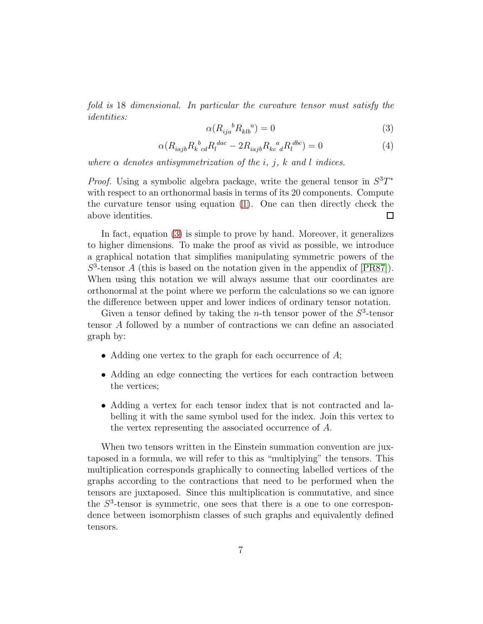fold is 18 dimensional. In particular the curvature tensor must satisfy the identities:

<span id="page-6-0"></span>
$$
\alpha(R_{ija}^{\quad b}R_{klb}^{\quad a}) = 0\tag{3}
$$

<span id="page-6-1"></span>
$$
\alpha (R_{iajb} R_k{}^b{}_{cd} R_l{}^{dac} - 2R_{iajb} R_{kc}{}^a{}_d R_l{}^{dbc}) = 0 \tag{4}
$$

where  $\alpha$  denotes antisymmetrization of the i, j, k and l indices.

*Proof.* Using a symbolic algebra package, write the general tensor in  $S^3T^*$ with respect to an orthonormal basis in terms of its 20 components. Compute the curvature tensor using equation [\(1\)](#page-3-1). One can then directly check the above identities.  $\Box$ 

In fact, equation [\(3\)](#page-6-0) is simple to prove by hand. Moreover, it generalizes to higher dimensions. To make the proof as vivid as possible, we introduce a graphical notation that simplifies manipulating symmetric powers of the  $S<sup>3</sup>$ -tensor A (this is based on the notation given in the appendix of [\[PR87\]](#page-17-3)). When using this notation we will always assume that our coordinates are orthonormal at the point where we perform the calculations so we can ignore the difference between upper and lower indices of ordinary tensor notation.

Given a tensor defined by taking the *n*-th tensor power of the  $S^3$ -tensor tensor A followed by a number of contractions we can define an associated graph by:

- Adding one vertex to the graph for each occurrence of  $A$ ;
- Adding an edge connecting the vertices for each contraction between the vertices;
- Adding a vertex for each tensor index that is not contracted and labelling it with the same symbol used for the index. Join this vertex to the vertex representing the associated occurrence of A.

When two tensors written in the Einstein summation convention are juxtaposed in a formula, we will refer to this as "multiplying" the tensors. This multiplication corresponds graphically to connecting labelled vertices of the graphs according to the contractions that need to be performed when the tensors are juxtaposed. Since this multiplication is commutative, and since the  $S<sup>3</sup>$ -tensor is symmetric, one sees that there is a one to one correspondence between isomorphism classes of such graphs and equivalently defined tensors.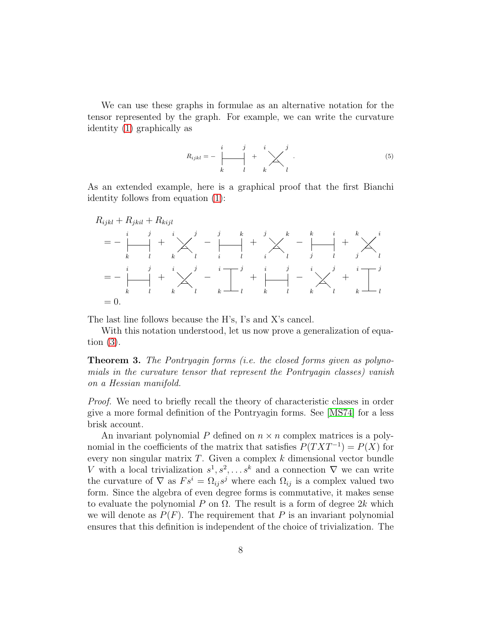We can use these graphs in formulae as an alternative notation for the tensor represented by the graph. For example, we can write the curvature identity [\(1\)](#page-3-1) graphically as

$$
R_{ijkl} = -\begin{array}{c|c} i & j & i \\ \hline k & l & k \end{array} + \begin{array}{c} i \\ \hline k \end{array}.
$$
 (5)

As an extended example, here is a graphical proof that the first Bianchi identity follows from equation [\(1\)](#page-3-1):

$$
R_{ijkl} + R_{jkil} + R_{kijl}
$$
  
=  $-\begin{vmatrix} i & j & i \\ k & l & k \end{vmatrix} + \begin{vmatrix} j & j & k \\ k & l & i \end{vmatrix} + \begin{vmatrix} j & k & k \\ k & l & j \end{vmatrix} + \begin{vmatrix} k & k & i \\ k & l & j \end{vmatrix} + \begin{vmatrix} k & k & i \\ k & l & j \end{vmatrix}$   
=  $-\begin{vmatrix} i & j & i \\ k & l & k \end{vmatrix} + \begin{vmatrix} j & i & j & i \\ k & l & k & l \end{vmatrix} + \begin{vmatrix} i & j & i \\ k & l & k \end{vmatrix} - \begin{vmatrix} j & k & l \\ k & l & k \end{vmatrix} + \begin{vmatrix} j & j & k \\ k & l & k \end{vmatrix}$   
= 0.

The last line follows because the H's, I's and X's cancel.

With this notation understood, let us now prove a generalization of equation [\(3\)](#page-6-0).

Theorem 3. The Pontryagin forms (i.e. the closed forms given as polynomials in the curvature tensor that represent the Pontryagin classes) vanish on a Hessian manifold.

Proof. We need to briefly recall the theory of characteristic classes in order give a more formal definition of the Pontryagin forms. See [\[MS74\]](#page-16-5) for a less brisk account.

An invariant polynomial P defined on  $n \times n$  complex matrices is a polynomial in the coefficients of the matrix that satisfies  $P(TXT^{-1}) = P(X)$  for every non singular matrix  $T$ . Given a complex  $k$  dimensional vector bundle V with a local trivialization  $s^1, s^2, \ldots s^k$  and a connection  $\nabla$  we can write the curvature of  $\nabla$  as  $Fs^i = \Omega_{ij} s^j$  where each  $\Omega_{ij}$  is a complex valued two form. Since the algebra of even degree forms is commutative, it makes sense to evaluate the polynomial P on  $\Omega$ . The result is a form of degree 2k which we will denote as  $P(F)$ . The requirement that P is an invariant polynomial ensures that this definition is independent of the choice of trivialization. The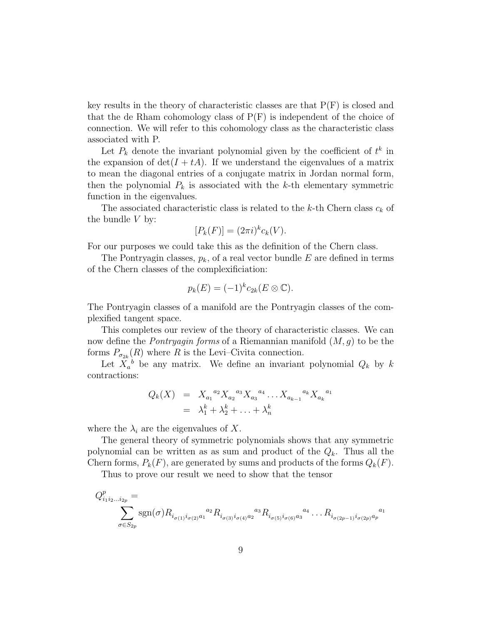key results in the theory of characteristic classes are that  $P(F)$  is closed and that the de Rham cohomology class of  $P(F)$  is independent of the choice of connection. We will refer to this cohomology class as the characteristic class associated with P.

Let  $P_k$  denote the invariant polynomial given by the coefficient of  $t^k$  in the expansion of  $det(I + tA)$ . If we understand the eigenvalues of a matrix to mean the diagonal entries of a conjugate matrix in Jordan normal form, then the polynomial  $P_k$  is associated with the k-th elementary symmetric function in the eigenvalues.

The associated characteristic class is related to the k-th Chern class  $c_k$  of the bundle  $V$  by:

$$
[P_k(F)] = (2\pi i)^k c_k(V).
$$

For our purposes we could take this as the definition of the Chern class.

The Pontryagin classes,  $p_k$ , of a real vector bundle E are defined in terms of the Chern classes of the complexificiation:

$$
p_k(E) = (-1)^k c_{2k}(E \otimes \mathbb{C}).
$$

The Pontryagin classes of a manifold are the Pontryagin classes of the complexified tangent space.

This completes our review of the theory of characteristic classes. We can now define the *Pontryagin forms* of a Riemannian manifold  $(M, g)$  to be the forms  $P_{\sigma_{2k}}(R)$  where R is the Levi-Civita connection.

Let  $X_a^b$  be any matrix. We define an invariant polynomial  $Q_k$  by k contractions:

$$
Q_k(X) = X_{a_1}^{a_2} X_{a_2}^{a_3} X_{a_3}^{a_4} \dots X_{a_{k-1}}^{a_k} X_{a_k}^{a_1}
$$
  
=  $\lambda_1^k + \lambda_2^k + \dots + \lambda_n^k$ 

where the  $\lambda_i$  are the eigenvalues of X.

The general theory of symmetric polynomials shows that any symmetric polynomial can be written as as sum and product of the  $Q_k$ . Thus all the Chern forms,  $P_k(F)$ , are generated by sums and products of the forms  $Q_k(F)$ .

Thus to prove our result we need to show that the tensor

$$
Q_{i_1 i_2 \dots i_{2p}}^p = \sum_{\sigma \in S_{2p}} \text{sgn}(\sigma) R_{i_{\sigma(1)} i_{\sigma(2)} a_1}^{a_2} R_{i_{\sigma(3)} i_{\sigma(4)} a_2}^{a_3} R_{i_{\sigma(5)} i_{\sigma(6)} a_3}^{a_4} \dots R_{i_{\sigma(2p-1)} i_{\sigma(2p)} a_p}^{a_1}
$$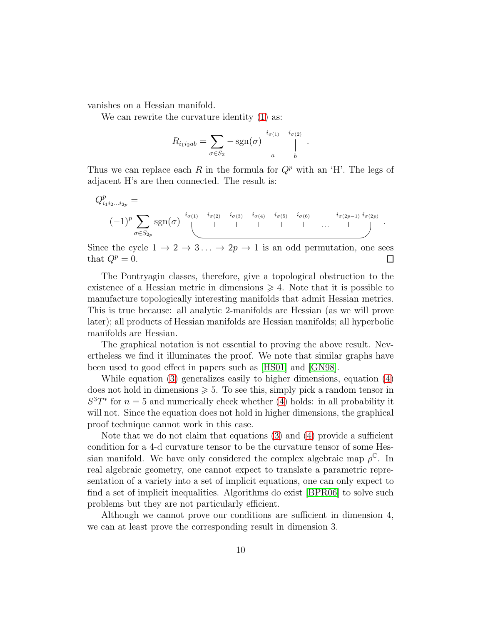vanishes on a Hessian manifold.

We can rewrite the curvature identity  $(1)$  as:

$$
R_{i_1 i_2 ab} = \sum_{\sigma \in S_2} -\text{sgn}(\sigma) \bigoplus_{a}^{i_{\sigma(1)}} \bigoplus_{b}^{i_{\sigma(2)}}.
$$

Thus we can replace each R in the formula for  $Q^p$  with an 'H'. The legs of adjacent H's are then connected. The result is:

$$
Q_{i_1 i_2 \dots i_{2p}}^p = \n\begin{array}{c}\n(-1)^p \sum_{\sigma \in S_{2p}} \text{sgn}(\sigma) \quad \stackrel{i_{\sigma(1)}}{=} \prod_{\sigma \in S_{2p}} \text{sgn}(\sigma) \quad \stackrel{i_{\sigma(2p-1)}}{=} \prod_{\sigma \in S_{2p}} \text{sgn}(\sigma) \quad \stackrel{i_{\sigma(3p-1)}}{=} \prod_{\sigma \in S_{2p}} \text{sgn}(\sigma) \quad \stackrel{i_{\sigma(4p-1)}}{=} \prod_{\sigma \in S_{2p}} \text{sgn}(\sigma) \quad \stackrel{i_{\sigma(5p-2p-1)}}{=} \prod_{\sigma \in S_{2p}} \text{sgn}(\sigma) \quad \stackrel{i_{\sigma(5p-1)}}{=} \prod_{\sigma \in S_{2p}} \text{sgn}(\sigma) \quad \stackrel{i_{\sigma(6p-1)}}{=} \prod_{\sigma \in S_{2p}} \text{sgn}(\sigma) \quad \stackrel{i_{\sigma(7p-1)}}{=} \prod_{\sigma \in S_{2p}} \text{sgn}(\sigma) \quad \stackrel{i_{\sigma(8p-1)}}{=} \prod_{\sigma \in S_{2p}} \text{sgn}(\sigma) \quad \stackrel{i_{\sigma(9p-1)}}{=} \prod_{\sigma \in S_{2p}} \text{sgn}(\sigma) \quad \stackrel{i_{\sigma(9p-1)}}{=} \prod_{\sigma \in S_{2p}} \text{sgn}(\sigma) \quad \stackrel{i_{\sigma(9p-1)}}{=} \prod_{\sigma \in S_{2p}} \text{sgn}(\sigma) \quad \stackrel{i_{\sigma(9p-1)}}{=} \prod_{\sigma \in S_{2p}} \text{sgn}(\sigma) \quad \stackrel{i_{\sigma(9p-1)}}{=} \prod_{\sigma \in S_{2p}} \text{sgn}(\sigma) \quad \stackrel{i_{\sigma(9p-1)}}{=} \prod_{\sigma \in S_{2p}} \text{sgn}(\sigma) \quad \stackrel{i_{\sigma(9p-1)}}{=} \prod_{\sigma \in S_{2p}} \text{sgn}(\sigma) \quad \stackrel{i_{\sigma(9p-1)}}{=} \prod_{\sigma \in S_{2p}} \text{sgn}(\sigma) \quad \stackrel{i_{\sigma(9p-1)}}{=} \prod_{\sigma \in S_{2p}} \text{sgn}(\sigma) \quad \stackrel{i_{\sigma(9p-1)}}{=} \prod_{\sigma
$$

Since the cycle  $1 \to 2 \to 3 \dots \to 2p \to 1$  is an odd permutation, one sees that  $Q^p = 0$ .  $\Box$ 

The Pontryagin classes, therefore, give a topological obstruction to the existence of a Hessian metric in dimensions  $\geq 4$ . Note that it is possible to manufacture topologically interesting manifolds that admit Hessian metrics. This is true because: all analytic 2-manifolds are Hessian (as we will prove later); all products of Hessian manifolds are Hessian manifolds; all hyperbolic manifolds are Hessian.

The graphical notation is not essential to proving the above result. Nevertheless we find it illuminates the proof. We note that similar graphs have been used to good effect in papers such as [\[HS01\]](#page-16-6) and [\[GN98\]](#page-16-7).

While equation [\(3\)](#page-6-0) generalizes easily to higher dimensions, equation [\(4\)](#page-6-1) does not hold in dimensions  $\geqslant 5$ . To see this, simply pick a random tensor in  $S^3T^*$  for  $n=5$  and numerically check whether [\(4\)](#page-6-1) holds: in all probability it will not. Since the equation does not hold in higher dimensions, the graphical proof technique cannot work in this case.

Note that we do not claim that equations [\(3\)](#page-6-0) and [\(4\)](#page-6-1) provide a sufficient condition for a 4-d curvature tensor to be the curvature tensor of some Hessian manifold. We have only considered the complex algebraic map  $\rho^{\mathbb{C}}$ . In real algebraic geometry, one cannot expect to translate a parametric representation of a variety into a set of implicit equations, one can only expect to find a set of implicit inequalities. Algorithms do exist [\[BPR06\]](#page-16-8) to solve such problems but they are not particularly efficient.

Although we cannot prove our conditions are sufficient in dimension 4, we can at least prove the corresponding result in dimension 3.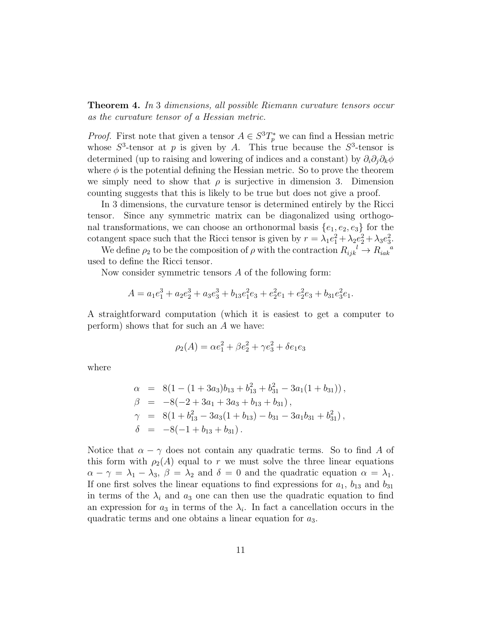**Theorem 4.** In 3 dimensions, all possible Riemann curvature tensors occur as the curvature tensor of a Hessian metric.

*Proof.* First note that given a tensor  $A \in S^3T_p^*$  we can find a Hessian metric whose  $S^3$ -tensor at p is given by A. This true because the  $S^3$ -tensor is determined (up to raising and lowering of indices and a constant) by  $\partial_i \partial_j \partial_k \phi$ where  $\phi$  is the potential defining the Hessian metric. So to prove the theorem we simply need to show that  $\rho$  is surjective in dimension 3. Dimension counting suggests that this is likely to be true but does not give a proof.

In 3 dimensions, the curvature tensor is determined entirely by the Ricci tensor. Since any symmetric matrix can be diagonalized using orthogonal transformations, we can choose an orthonormal basis  $\{e_1, e_2, e_3\}$  for the cotangent space such that the Ricci tensor is given by  $r = \lambda_1 e_1^2 + \lambda_2 e_2^2 + \lambda_3 e_3^2$ .

We define  $\rho_2$  to be the composition of  $\rho$  with the contraction  $R_{ijk}^{\phantom{ijk}l} \to R_{iak}^{\phantom{ik}a}$ used to define the Ricci tensor.

Now consider symmetric tensors A of the following form:

$$
A = a_1e_1^3 + a_2e_2^3 + a_3e_3^3 + b_{13}e_1^2e_3 + e_2^2e_1 + e_2^2e_3 + b_{31}e_3^2e_1.
$$

A straightforward computation (which it is easiest to get a computer to perform) shows that for such an A we have:

$$
\rho_2(A) = \alpha e_1^2 + \beta e_2^2 + \gamma e_3^2 + \delta e_1 e_3
$$

where

$$
\alpha = 8(1 - (1 + 3a_3)b_{13} + b_{13}^2 + b_{31}^2 - 3a_1(1 + b_{31})),
$$
  
\n
$$
\beta = -8(-2 + 3a_1 + 3a_3 + b_{13} + b_{31}),
$$
  
\n
$$
\gamma = 8(1 + b_{13}^2 - 3a_3(1 + b_{13}) - b_{31} - 3a_1b_{31} + b_{31}^2),
$$
  
\n
$$
\delta = -8(-1 + b_{13} + b_{31}).
$$

Notice that  $\alpha - \gamma$  does not contain any quadratic terms. So to find A of this form with  $\rho_2(A)$  equal to r we must solve the three linear equations  $\alpha - \gamma = \lambda_1 - \lambda_3$ ,  $\beta = \lambda_2$  and  $\delta = 0$  and the quadratic equation  $\alpha = \lambda_1$ . If one first solves the linear equations to find expressions for  $a_1$ ,  $b_{13}$  and  $b_{31}$ in terms of the  $\lambda_i$  and  $a_3$  one can then use the quadratic equation to find an expression for  $a_3$  in terms of the  $\lambda_i$ . In fact a cancellation occurs in the quadratic terms and one obtains a linear equation for  $a_3$ .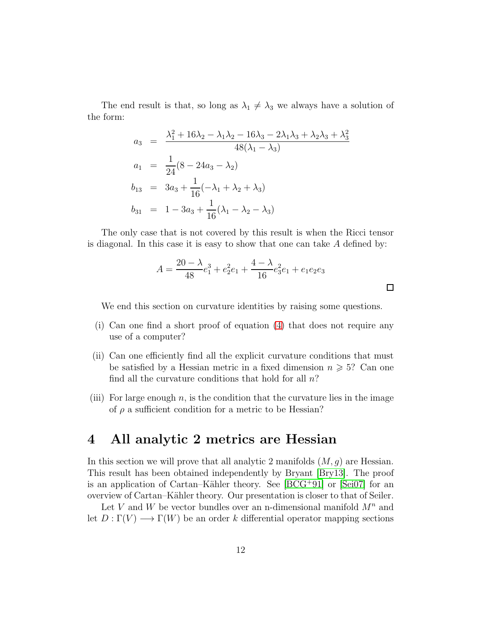The end result is that, so long as  $\lambda_1 \neq \lambda_3$  we always have a solution of the form:

$$
a_3 = \frac{\lambda_1^2 + 16\lambda_2 - \lambda_1\lambda_2 - 16\lambda_3 - 2\lambda_1\lambda_3 + \lambda_2\lambda_3 + \lambda_3^2}{48(\lambda_1 - \lambda_3)}
$$
  
\n
$$
a_1 = \frac{1}{24}(8 - 24a_3 - \lambda_2)
$$
  
\n
$$
b_{13} = 3a_3 + \frac{1}{16}(-\lambda_1 + \lambda_2 + \lambda_3)
$$
  
\n
$$
b_{31} = 1 - 3a_3 + \frac{1}{16}(\lambda_1 - \lambda_2 - \lambda_3)
$$

The only case that is not covered by this result is when the Ricci tensor is diagonal. In this case it is easy to show that one can take  $A$  defined by:

$$
A = \frac{20 - \lambda}{48}e_1^3 + e_2^2 e_1 + \frac{4 - \lambda}{16}e_3^2 e_1 + e_1 e_2 e_3
$$

 $\Box$ 

We end this section on curvature identities by raising some questions.

- (i) Can one find a short proof of equation [\(4\)](#page-6-1) that does not require any use of a computer?
- (ii) Can one efficiently find all the explicit curvature conditions that must be satisfied by a Hessian metric in a fixed dimension  $n \geqslant 5$ ? Can one find all the curvature conditions that hold for all  $n$ ?
- (iii) For large enough  $n$ , is the condition that the curvature lies in the image of  $\rho$  a sufficient condition for a metric to be Hessian?

### <span id="page-11-0"></span>4 All analytic 2 metrics are Hessian

In this section we will prove that all analytic 2 manifolds  $(M, g)$  are Hessian. This result has been obtained independently by Bryant [\[Bry13\]](#page-16-3). The proof is an application of Cartan–Kähler theory. See  $[BCG^+91]$  or  $[Sei07]$  for an overview of Cartan–K¨ahler theory. Our presentation is closer to that of Seiler.

Let V and W be vector bundles over an n-dimensional manifold  $M^n$  and let  $D: \Gamma(V) \longrightarrow \Gamma(W)$  be an order k differential operator mapping sections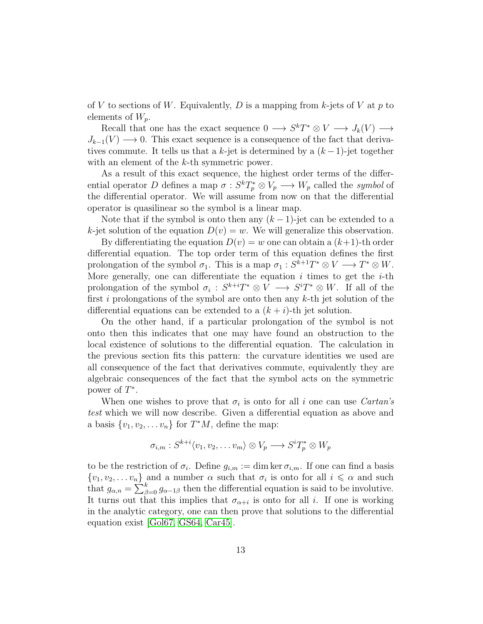of V to sections of W. Equivalently, D is a mapping from k-jets of V at p to elements of  $W_p$ .

Recall that one has the exact sequence  $0 \longrightarrow S^kT^* \otimes V \longrightarrow J_k(V) \longrightarrow$  $J_{k-1}(V) \longrightarrow 0$ . This exact sequence is a consequence of the fact that derivatives commute. It tells us that a k-jet is determined by a  $(k-1)$ -jet together with an element of the k-th symmetric power.

As a result of this exact sequence, the highest order terms of the differential operator D defines a map  $\sigma : S^k T_p^* \otimes V_p \longrightarrow W_p$  called the symbol of the differential operator. We will assume from now on that the differential operator is quasilinear so the symbol is a linear map.

Note that if the symbol is onto then any  $(k-1)$ -jet can be extended to a k-jet solution of the equation  $D(v) = w$ . We will generalize this observation.

By differentiating the equation  $D(v) = w$  one can obtain a  $(k+1)$ -th order differential equation. The top order term of this equation defines the first prolongation of the symbol  $\sigma_1$ . This is a map  $\sigma_1 : S^{k+1}T^* \otimes V \longrightarrow T^* \otimes W$ . More generally, one can differentiate the equation  $i$  times to get the  $i$ -th prolongation of the symbol  $\sigma_i : S^{k+i}T^* \otimes V \longrightarrow S^{i}T^* \otimes W$ . If all of the first i prolongations of the symbol are onto then any  $k$ -th jet solution of the differential equations can be extended to a  $(k + i)$ -th jet solution.

On the other hand, if a particular prolongation of the symbol is not onto then this indicates that one may have found an obstruction to the local existence of solutions to the differential equation. The calculation in the previous section fits this pattern: the curvature identities we used are all consequence of the fact that derivatives commute, equivalently they are algebraic consequences of the fact that the symbol acts on the symmetric power of  $T^*$ .

When one wishes to prove that  $\sigma_i$  is onto for all i one can use *Cartan's* test which we will now describe. Given a differential equation as above and a basis  $\{v_1, v_2, \ldots v_n\}$  for  $T^*M$ , define the map:

$$
\sigma_{i,m}: S^{k+i} \langle v_1, v_2, \dots v_m \rangle \otimes V_p \longrightarrow S^i T_p^* \otimes W_p
$$

to be the restriction of  $\sigma_i$ . Define  $g_{i,m} := \dim \ker \sigma_{i,m}$ . If one can find a basis  $\{v_1, v_2, \ldots v_n\}$  and a number  $\alpha$  such that  $\sigma_i$  is onto for all  $i \leq \alpha$  and such that  $g_{\alpha,n} = \sum_{\beta=0}^{k} g_{\alpha-1\beta}$  then the differential equation is said to be involutive. It turns out that this implies that  $\sigma_{\alpha+i}$  is onto for all *i*. If one is working in the analytic category, one can then prove that solutions to the differential equation exist [\[Gol67,](#page-16-9) [GS64,](#page-16-10) [Car45\]](#page-16-11).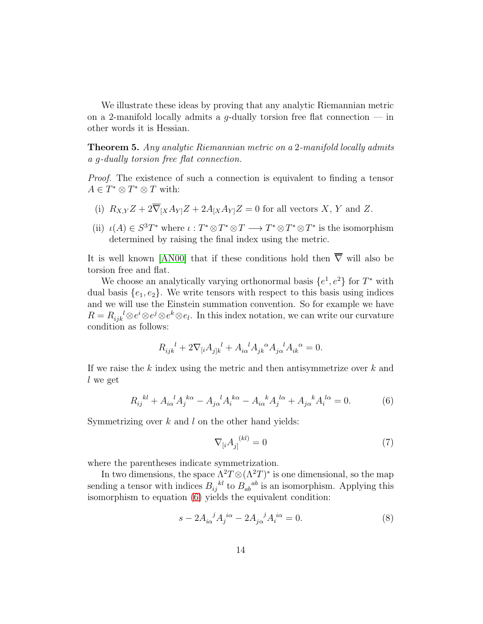We illustrate these ideas by proving that any analytic Riemannian metric on a 2-manifold locally admits a g-dually torsion free flat connection  $-$  in other words it is Hessian.

Theorem 5. Any analytic Riemannian metric on a 2-manifold locally admits a g-dually torsion free flat connection.

Proof. The existence of such a connection is equivalent to finding a tensor  $A \in T^* \otimes T^* \otimes T$  with:

- (i)  $R_{X,Y}Z + 2\overline{\nabla}_{[X}A_{Y]}Z + 2A_{[X}A_{Y]}Z = 0$  for all vectors X, Y and Z.
- (ii)  $\iota(A) \in S^3T^*$  where  $\iota: T^* \otimes T^* \otimes T \longrightarrow T^* \otimes T^* \otimes T^*$  is the isomorphism determined by raising the final index using the metric.

It is well known [\[AN00\]](#page-15-0) that if these conditions hold then  $\overline{\nabla}$  will also be torsion free and flat.

We choose an analytically varying orthonormal basis  $\{e^1, e^2\}$  for  $T^*$  with dual basis  $\{e_1, e_2\}$ . We write tensors with respect to this basis using indices and we will use the Einstein summation convention. So for example we have  $R = R_{ijk}^{\phantom{ijk}l} \otimes e^i \otimes e^j \otimes e^k \otimes e_l$ . In this index notation, we can write our curvature condition as follows:

$$
R_{ijk}^{\ \ l} + 2\nabla_{[i}A_{j]k}^{\ \ l} + A_{i\alpha}^{\ \ l}A_{jk}^{\ \ \alpha}A_{j\alpha}^{\ \ l}A_{ik}^{\ \ \alpha} = 0.
$$

If we raise the  $k$  index using the metric and then antisymmetrize over  $k$  and l we get

<span id="page-13-0"></span>
$$
R_{ij}^{~~kl} + A_{i\alpha}^{~~l} A_j^{~k\alpha} - A_{j\alpha}^{~~l} A_i^{~k\alpha} - A_{i\alpha}^{~~k} A_j^{~l\alpha} + A_{j\alpha}^{~~k} A_i^{~l\alpha} = 0. \tag{6}
$$

Symmetrizing over  $k$  and  $l$  on the other hand yields:

<span id="page-13-2"></span>
$$
\nabla_{[i}A_{j]}^{(kl)} = 0\tag{7}
$$

where the parentheses indicate symmetrization.

In two dimensions, the space  $\Lambda^2 T \otimes (\Lambda^2 T)^*$  is one dimensional, so the map sending a tensor with indices  $B_{ij}^{kl}$  to  $B_{ab}^{ab}$  is an isomorphism. Applying this isomorphism to equation [\(6\)](#page-13-0) yields the equivalent condition:

<span id="page-13-1"></span>
$$
s - 2A_{i\alpha}^{\ \ j}A_j^{\ i\alpha} - 2A_{j\alpha}^{\ \ j}A_i^{\ i\alpha} = 0. \tag{8}
$$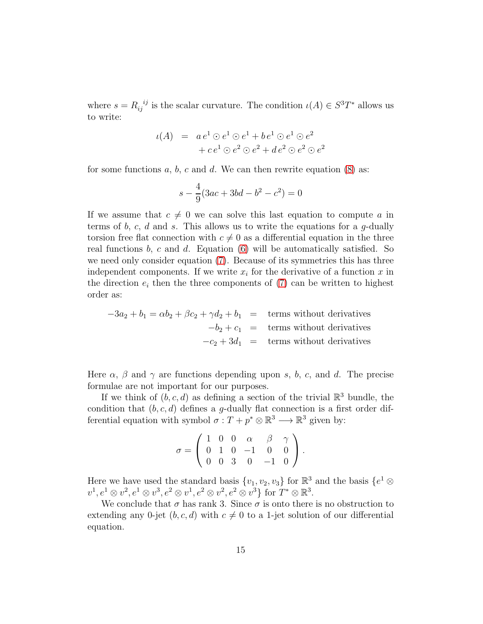where  $s = R_{ij}^{i j}$  is the scalar curvature. The condition  $\iota(A) \in S^3 T^*$  allows us to write:

$$
\iota(A) = a e^1 \odot e^1 \odot e^1 + b e^1 \odot e^1 \odot e^2
$$
  
+ 
$$
c e^1 \odot e^2 \odot e^2 + d e^2 \odot e^2 \odot e^2
$$

for some functions  $a, b, c$  and  $d$ . We can then rewrite equation  $(8)$  as:

$$
s - \frac{4}{9}(3ac + 3bd - b^2 - c^2) = 0
$$

If we assume that  $c \neq 0$  we can solve this last equation to compute a in terms of b, c, d and s. This allows us to write the equations for a  $q$ -dually torsion free flat connection with  $c \neq 0$  as a differential equation in the three real functions  $b$ ,  $c$  and  $d$ . Equation  $(6)$  will be automatically satisfied. So we need only consider equation [\(7\)](#page-13-2). Because of its symmetries this has three independent components. If we write  $x_i$  for the derivative of a function x in the direction  $e_i$  then the three components of [\(7\)](#page-13-2) can be written to highest order as:

$$
-3a_2 + b_1 = \alpha b_2 + \beta c_2 + \gamma d_2 + b_1 = \text{terms without derivatives}
$$

$$
-b_2 + c_1 = \text{terms without derivatives}
$$

$$
-c_2 + 3d_1 = \text{terms without derivatives}
$$

Here  $\alpha$ ,  $\beta$  and  $\gamma$  are functions depending upon s, b, c, and d. The precise formulae are not important for our purposes.

If we think of  $(b, c, d)$  as defining a section of the trivial  $\mathbb{R}^3$  bundle, the condition that  $(b, c, d)$  defines a g-dually flat connection is a first order differential equation with symbol  $\sigma: T + p^* \otimes \mathbb{R}^3 \longrightarrow \mathbb{R}^3$  given by:

$$
\sigma = \left(\begin{array}{cccccc} 1 & 0 & 0 & \alpha & \beta & \gamma \\ 0 & 1 & 0 & -1 & 0 & 0 \\ 0 & 0 & 3 & 0 & -1 & 0 \end{array}\right).
$$

Here we have used the standard basis  $\{v_1, v_2, v_3\}$  for  $\mathbb{R}^3$  and the basis  $\{e^1 \otimes$  $v^1, e^1 \otimes v^2, e^1 \otimes v^3, e^2 \otimes v^1, e^2 \otimes v^2, e^2 \otimes v^3$  for  $T^* \otimes \mathbb{R}^3$ .

We conclude that  $\sigma$  has rank 3. Since  $\sigma$  is onto there is no obstruction to extending any 0-jet  $(b, c, d)$  with  $c \neq 0$  to a 1-jet solution of our differential equation.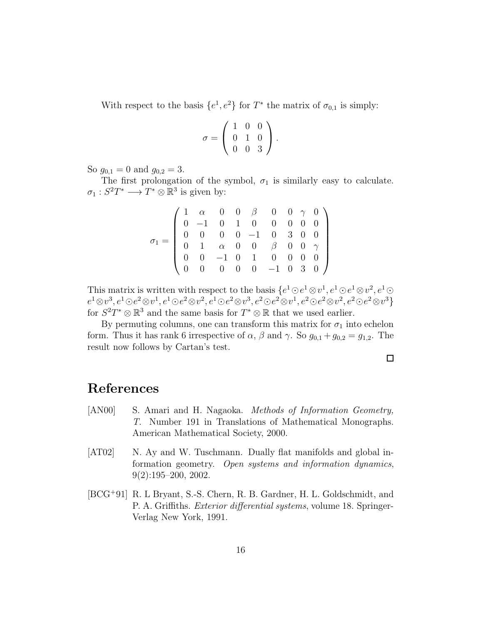With respect to the basis  $\{e^1, e^2\}$  for  $T^*$  the matrix of  $\sigma_{0,1}$  is simply:

$$
\sigma = \left(\begin{array}{rrr} 1 & 0 & 0 \\ 0 & 1 & 0 \\ 0 & 0 & 3 \end{array}\right).
$$

So  $g_{0,1} = 0$  and  $g_{0,2} = 3$ .

The first prolongation of the symbol,  $\sigma_1$  is similarly easy to calculate.  $\sigma_1: S^2T^* \longrightarrow T^* \otimes \mathbb{R}^3$  is given by:

|  |  |  |  |  | $\left(\begin{array}{cccccc} 1 & \alpha & 0 & 0 & \beta & 0 & 0 & \gamma & 0 \\ 0 & -1 & 0 & 1 & 0 & 0 & 0 & 0 & 0 \\ 0 & 0 & 0 & 0 & -1 & 0 & 3 & 0 & 0 \\ 0 & 1 & \alpha & 0 & 0 & \beta & 0 & 0 & \gamma \\ 0 & 0 & -1 & 0 & 1 & 0 & 0 & 0 & 0 \\ 0 & 0 & 0 & 0 & 0 & -1 & 0 & 3 & 0 \end{array}\right)$ |
|--|--|--|--|--|-------------------------------------------------------------------------------------------------------------------------------------------------------------------------------------------------------------------------------------------------------------------------------------------------------------|
|  |  |  |  |  |                                                                                                                                                                                                                                                                                                             |
|  |  |  |  |  |                                                                                                                                                                                                                                                                                                             |
|  |  |  |  |  |                                                                                                                                                                                                                                                                                                             |

This matrix is written with respect to the basis  $\{e^1 \odot e^1 \otimes v^1, e^1 \odot e^1 \otimes v^2, e^1 \odot e^1 \otimes v^2\}$  $e^1 \otimes v^3, e^1 \odot e^2 \otimes v^1, e^1 \odot e^2 \otimes v^2, e^1 \odot e^2 \otimes v^3, e^2 \odot e^2 \otimes v^1, e^2 \odot e^2 \otimes v^2, e^2 \odot e^2 \otimes v^3 \}$ for  $S^2T^* \otimes \mathbb{R}^3$  and the same basis for  $T^* \otimes \mathbb{R}$  that we used earlier.

By permuting columns, one can transform this matrix for  $\sigma_1$  into echelon form. Thus it has rank 6 irrespective of  $\alpha$ ,  $\beta$  and  $\gamma$ . So  $g_{0,1} + g_{0,2} = g_{1,2}$ . The result now follows by Cartan's test.

 $\Box$ 

# References

- <span id="page-15-0"></span>[AN00] S. Amari and H. Nagaoka. Methods of Information Geometry, T. Number 191 in Translations of Mathematical Monographs. American Mathematical Society, 2000.
- <span id="page-15-1"></span>[AT02] N. Ay and W. Tuschmann. Dually flat manifolds and global information geometry. Open systems and information dynamics, 9(2):195–200, 2002.
- <span id="page-15-2"></span>[BCG<sup>+</sup>91] R. L Bryant, S.-S. Chern, R. B. Gardner, H. L. Goldschmidt, and P. A. Griffiths. Exterior differential systems, volume 18. Springer-Verlag New York, 1991.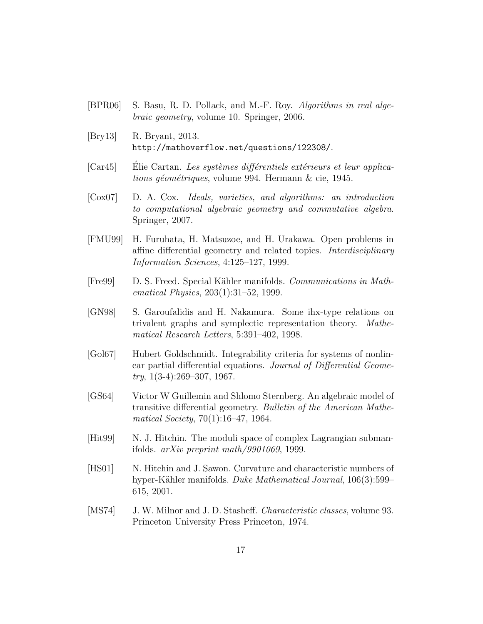- <span id="page-16-8"></span>[BPR06] S. Basu, R. D. Pollack, and M.-F. Roy. Algorithms in real algebraic geometry, volume 10. Springer, 2006.
- <span id="page-16-3"></span>[Bry13] R. Bryant, 2013. http://mathoverflow.net/questions/122308/.
- <span id="page-16-11"></span> $[Car45]$  Elie Cartan. Les systèmes différentiels extérieurs et leur applications géométriques, volume 994. Hermann  $\&$  cie, 1945.
- <span id="page-16-4"></span>[Cox07] D. A. Cox. Ideals, varieties, and algorithms: an introduction to computational algebraic geometry and commutative algebra. Springer, 2007.
- <span id="page-16-2"></span>[FMU99] H. Furuhata, H. Matsuzoe, and H. Urakawa. Open problems in affine differential geometry and related topics. Interdisciplinary Information Sciences, 4:125–127, 1999.
- <span id="page-16-1"></span>[Fre99] D. S. Freed. Special Kähler manifolds. Communications in Mathematical Physics, 203(1):31–52, 1999.
- <span id="page-16-7"></span>[GN98] S. Garoufalidis and H. Nakamura. Some ihx-type relations on trivalent graphs and symplectic representation theory. Mathematical Research Letters, 5:391–402, 1998.
- <span id="page-16-9"></span>[Gol67] Hubert Goldschmidt. Integrability criteria for systems of nonlinear partial differential equations. Journal of Differential Geome $try, 1(3-4):269-307, 1967.$
- <span id="page-16-10"></span>[GS64] Victor W Guillemin and Shlomo Sternberg. An algebraic model of transitive differential geometry. Bulletin of the American Mathematical Society, 70(1):16–47, 1964.
- <span id="page-16-0"></span>[Hit99] N. J. Hitchin. The moduli space of complex Lagrangian submanifolds. arXiv preprint math/9901069, 1999.
- <span id="page-16-6"></span>[HS01] N. Hitchin and J. Sawon. Curvature and characteristic numbers of hyper-Kähler manifolds. Duke Mathematical Journal, 106(3):599– 615, 2001.
- <span id="page-16-5"></span>[MS74] J. W. Milnor and J. D. Stasheff. *Characteristic classes*, volume 93. Princeton University Press Princeton, 1974.